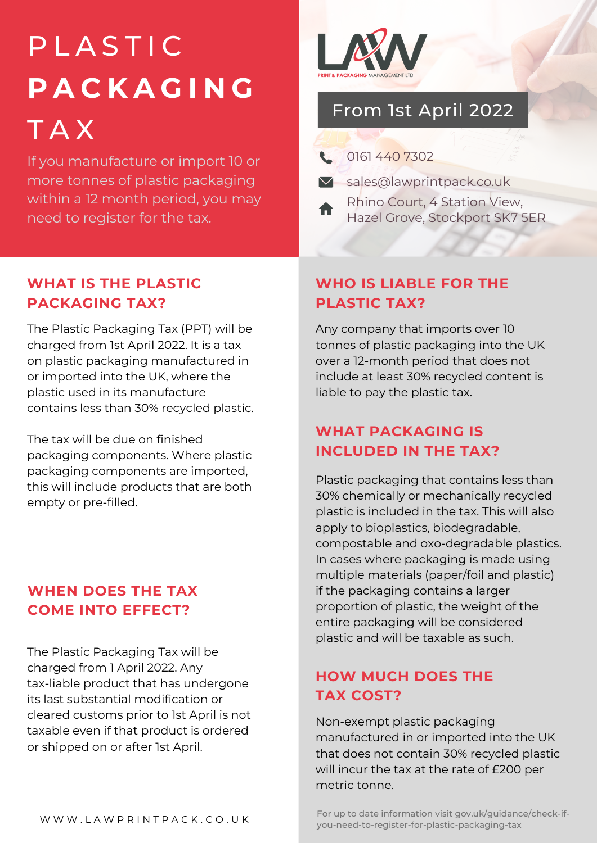# **PLASTIC P A C K A G I N G** T A X

If you manufacture or import 10 or more tonnes of plastic packaging within a 12 month period, you may need to register for the tax.



# From 1st April 2022

|                       |  | 0161 440 7302 |
|-----------------------|--|---------------|
| $\blacktriangleright$ |  |               |

- Sales@lawprintpack.co.uk
- Rhino Court, 4 Station View, Hazel Grove, Stockport SK7 5ER

#### **WHAT IS THE PLASTIC PACKAGING TAX?**

The Plastic Packaging Tax (PPT) will be charged from 1st April 2022. It is a tax on plastic packaging manufactured in or imported into the UK, where the plastic used in its manufacture contains less than 30% recycled plastic.

The tax will be due on finished packaging components. Where plastic packaging components are imported, this will include products that are both empty or pre-filled.

#### **WHEN DOES THE TAX COME INTO EFFECT?**

The Plastic Packaging Tax will be charged from 1 April 2022. Any tax-liable product that has undergone its last substantial modification or cleared customs prior to 1st April is not taxable even if that product is ordered or shipped on or after 1st April.

#### **WHO IS LIABLE FOR THE PLASTIC TAX?**

Any company that imports over 10 tonnes of plastic packaging into the UK over a 12-month period that does not include at least 30% recycled content is liable to pay the plastic tax.

#### **WHAT PACKAGING IS INCLUDED IN THE TAX?**

Plastic packaging that contains less than 30% chemically or mechanically recycled plastic is included in the tax. This will also apply to bioplastics, biodegradable, compostable and oxo-degradable plastics. In cases where packaging is made using multiple materials (paper/foil and plastic) if the packaging contains a larger proportion of plastic, the weight of the entire packaging will be considered plastic and will be taxable as such.

### **HOW MUCH DOES THE TAX COST?**

Non-exempt plastic packaging manufactured in or imported into the UK that does not contain 30% recycled plastic will incur the tax at the rate of £200 per metric tonne.

For up to date information visit gov.uk/guidance/check-ifyou-need-to-register-for-plastic-packaging-tax